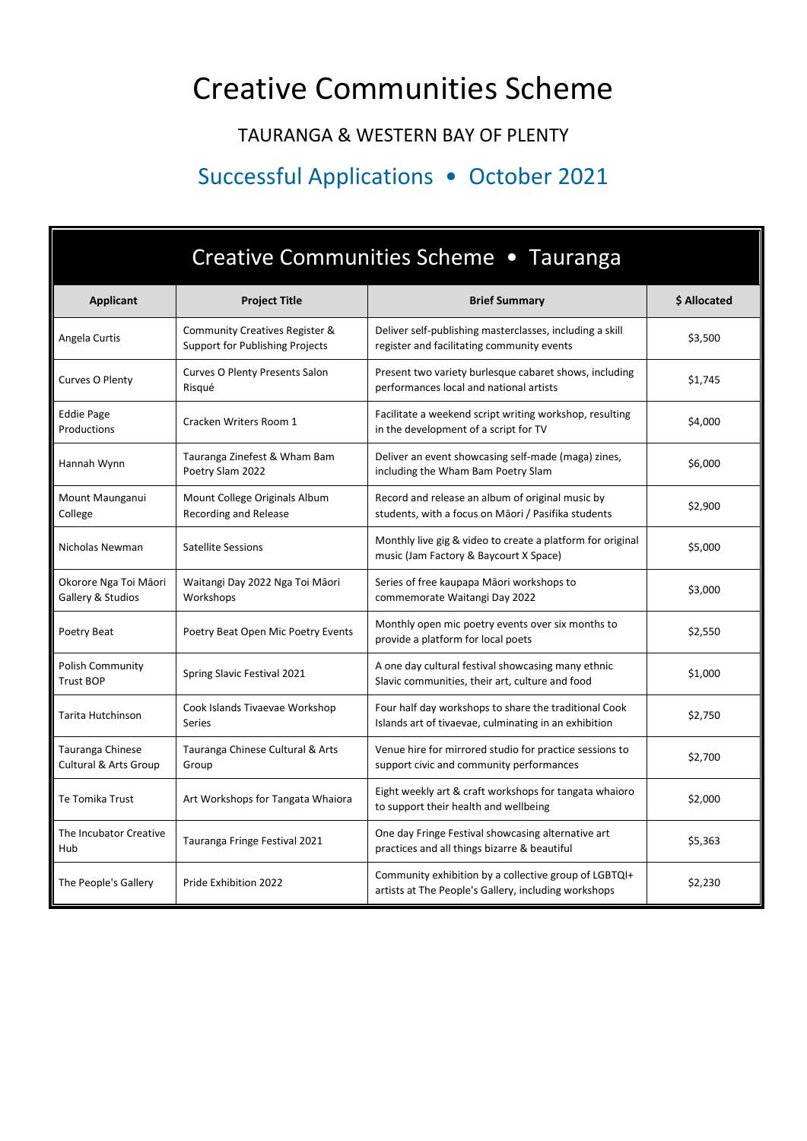## Creative Communities Scheme

## TAURANGA & WESTERN BAY OF PLENTY

## Successful Applications • October 2021

| Creative Communities Scheme • Tauranga      |                                                                   |                                                                                                                |              |  |
|---------------------------------------------|-------------------------------------------------------------------|----------------------------------------------------------------------------------------------------------------|--------------|--|
| <b>Applicant</b>                            | <b>Project Title</b>                                              | <b>Brief Summary</b>                                                                                           | \$ Allocated |  |
| Angela Curtis                               | Community Creatives Register &<br>Support for Publishing Projects | Deliver self-publishing masterclasses, including a skill<br>register and facilitating community events         | \$3,500      |  |
| Curves O Plenty                             | Curves O Plenty Presents Salon<br>Risqué                          | Present two variety burlesque cabaret shows, including<br>performances local and national artists              | \$1,745      |  |
| <b>Eddie Page</b><br>Productions            | Cracken Writers Room 1                                            | Facilitate a weekend script writing workshop, resulting<br>in the development of a script for TV               | \$4,000      |  |
| Hannah Wynn                                 | Tauranga Zinefest & Wham Bam<br>Poetry Slam 2022                  | Deliver an event showcasing self-made (maga) zines,<br>including the Wham Bam Poetry Slam                      | \$6,000      |  |
| Mount Maunganui<br>College                  | Mount College Originals Album<br>Recording and Release            | Record and release an album of original music by<br>students, with a focus on Māori / Pasifika students        | \$2,900      |  |
| Nicholas Newman                             | Satellite Sessions                                                | Monthly live gig & video to create a platform for original<br>music (Jam Factory & Baycourt X Space)           | \$5,000      |  |
| Okorore Nga Toi Māori<br>Gallery & Studios  | Waitangi Day 2022 Nga Toi Māori<br>Workshops                      | Series of free kaupapa Māori workshops to<br>commemorate Waitangi Day 2022                                     | \$3,000      |  |
| Poetry Beat                                 | Poetry Beat Open Mic Poetry Events                                | Monthly open mic poetry events over six months to<br>provide a platform for local poets                        | \$2,550      |  |
| <b>Polish Community</b><br><b>Trust BOP</b> | Spring Slavic Festival 2021                                       | A one day cultural festival showcasing many ethnic<br>Slavic communities, their art, culture and food          | \$1,000      |  |
| Tarita Hutchinson                           | Cook Islands Tivaevae Workshop<br>Series                          | Four half day workshops to share the traditional Cook<br>Islands art of tivaevae, culminating in an exhibition | \$2,750      |  |
| Tauranga Chinese<br>Cultural & Arts Group   | Tauranga Chinese Cultural & Arts<br>Group                         | Venue hire for mirrored studio for practice sessions to<br>support civic and community performances            | \$2,700      |  |
| Te Tomika Trust                             | Art Workshops for Tangata Whaiora                                 | Eight weekly art & craft workshops for tangata whaioro<br>to support their health and wellbeing                | \$2,000      |  |
| The Incubator Creative<br>Hub               | Tauranga Fringe Festival 2021                                     | One day Fringe Festival showcasing alternative art<br>practices and all things bizarre & beautiful             | \$5,363      |  |
| The People's Gallery                        | Pride Exhibition 2022                                             | Community exhibition by a collective group of LGBTQI+<br>artists at The People's Gallery, including workshops  | \$2,230      |  |